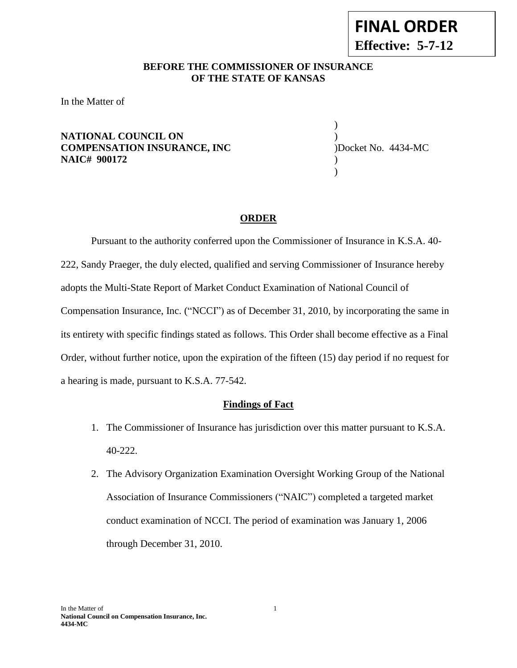#### In the Matter of 1 **National Council on Compensation Insurance, Inc. 4434-MC**

**FINAL ORDER Effective: 5-7-12**

# **BEFORE THE COMMISSIONER OF INSURANCE --12OF THE STATE OF KANSAS**

In the Matter of

### **NATIONAL COUNCIL ON** ) **COMPENSATION INSURANCE, INC** )Docket No. 4434-MC **NAIC# 900172** )

) )

### **ORDER**

Pursuant to the authority conferred upon the Commissioner of Insurance in K.S.A. 40- 222, Sandy Praeger, the duly elected, qualified and serving Commissioner of Insurance hereby adopts the Multi-State Report of Market Conduct Examination of National Council of Compensation Insurance, Inc. ("NCCI") as of December 31, 2010, by incorporating the same in its entirety with specific findings stated as follows. This Order shall become effective as a Final Order, without further notice, upon the expiration of the fifteen (15) day period if no request for a hearing is made, pursuant to K.S.A. 77-542.

#### **Findings of Fact**

- 1. The Commissioner of Insurance has jurisdiction over this matter pursuant to K.S.A. 40-222.
- 2. The Advisory Organization Examination Oversight Working Group of the National Association of Insurance Commissioners ("NAIC") completed a targeted market conduct examination of NCCI. The period of examination was January 1, 2006 through December 31, 2010.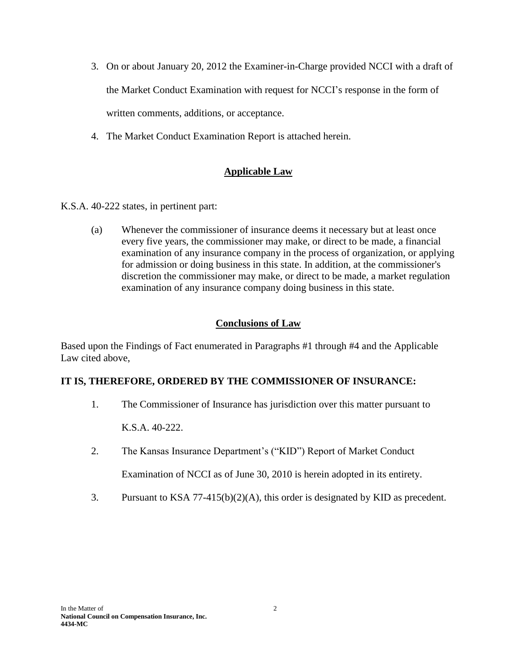- 3. On or about January 20, 2012 the Examiner-in-Charge provided NCCI with a draft of the Market Conduct Examination with request for NCCI's response in the form of written comments, additions, or acceptance.
- 4. The Market Conduct Examination Report is attached herein.

### **Applicable Law**

K.S.A. 40-222 states, in pertinent part:

(a) Whenever the commissioner of insurance deems it necessary but at least once every five years, the commissioner may make, or direct to be made, a financial examination of any insurance company in the process of organization, or applying for admission or doing business in this state. In addition, at the commissioner's discretion the commissioner may make, or direct to be made, a market regulation examination of any insurance company doing business in this state.

#### **Conclusions of Law**

Based upon the Findings of Fact enumerated in Paragraphs #1 through #4 and the Applicable Law cited above,

### **IT IS, THEREFORE, ORDERED BY THE COMMISSIONER OF INSURANCE:**

1. The Commissioner of Insurance has jurisdiction over this matter pursuant to

K.S.A. 40-222.

- 2. The Kansas Insurance Department's ("KID") Report of Market Conduct Examination of NCCI as of June 30, 2010 is herein adopted in its entirety.
- 3. Pursuant to KSA 77-415(b)(2)(A), this order is designated by KID as precedent.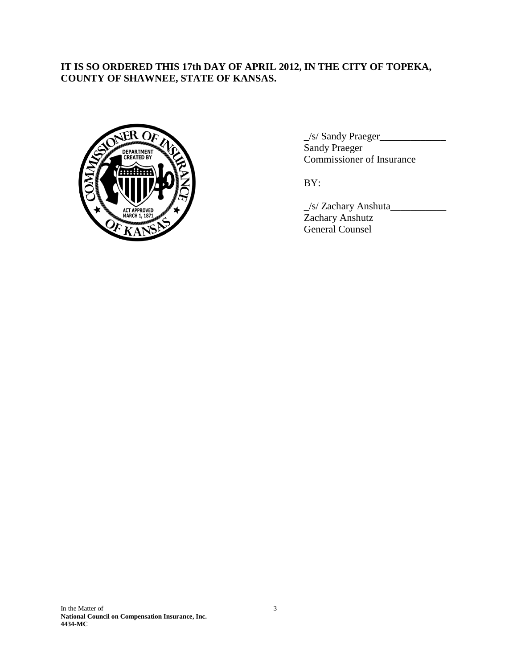## **IT IS SO ORDERED THIS 17th DAY OF APRIL 2012, IN THE CITY OF TOPEKA, COUNTY OF SHAWNEE, STATE OF KANSAS.**



\_/s/ Sandy Praeger\_\_\_\_\_\_\_\_\_\_\_\_\_ Sandy Praeger Commissioner of Insurance

BY:

\_/s/ Zachary Anshuta\_\_\_\_\_\_\_\_\_\_\_ Zachary Anshutz General Counsel